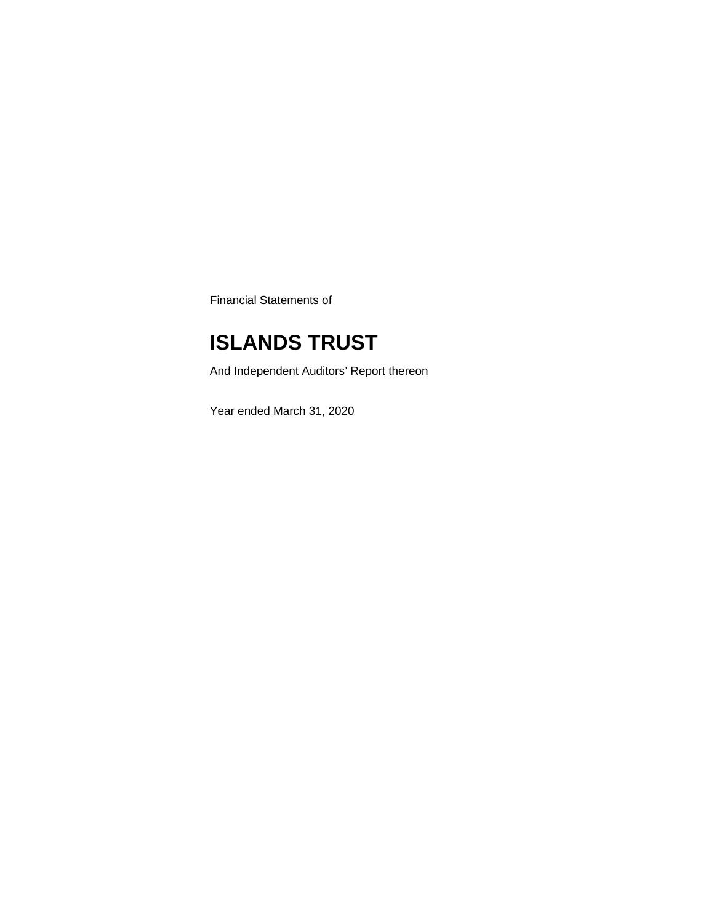Financial Statements of

## **ISLANDS TRUST**

And Independent Auditors' Report thereon

Year ended March 31, 2020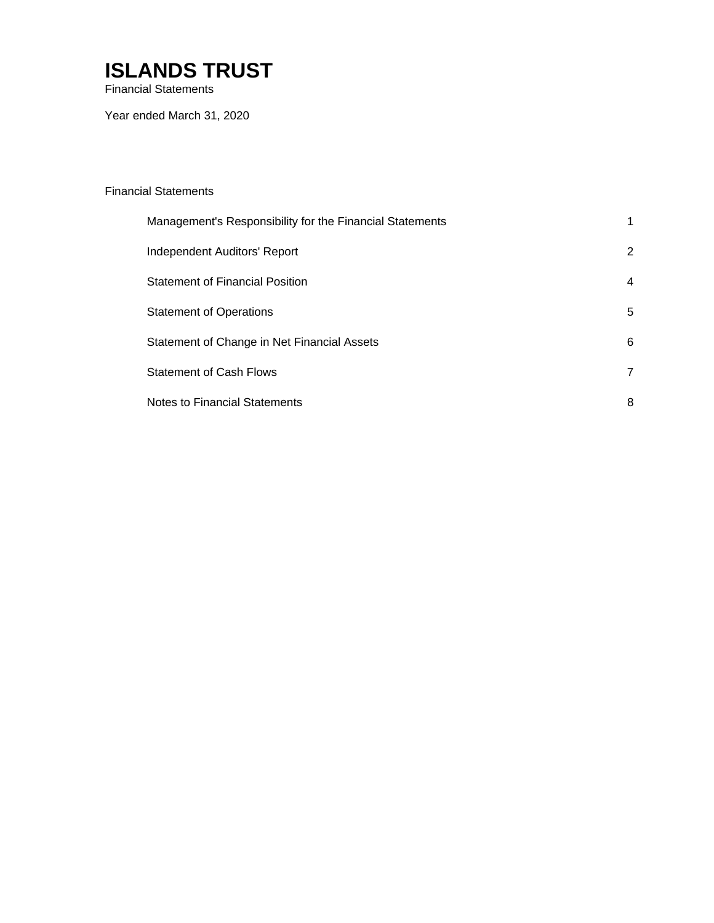Financial Statements

Year ended March 31, 2020

### Financial Statements

| Management's Responsibility for the Financial Statements |                |
|----------------------------------------------------------|----------------|
| Independent Auditors' Report                             | 2              |
| <b>Statement of Financial Position</b>                   | 4              |
| <b>Statement of Operations</b>                           | 5              |
| Statement of Change in Net Financial Assets              | 6              |
| <b>Statement of Cash Flows</b>                           | $\overline{7}$ |
| Notes to Financial Statements                            | 8              |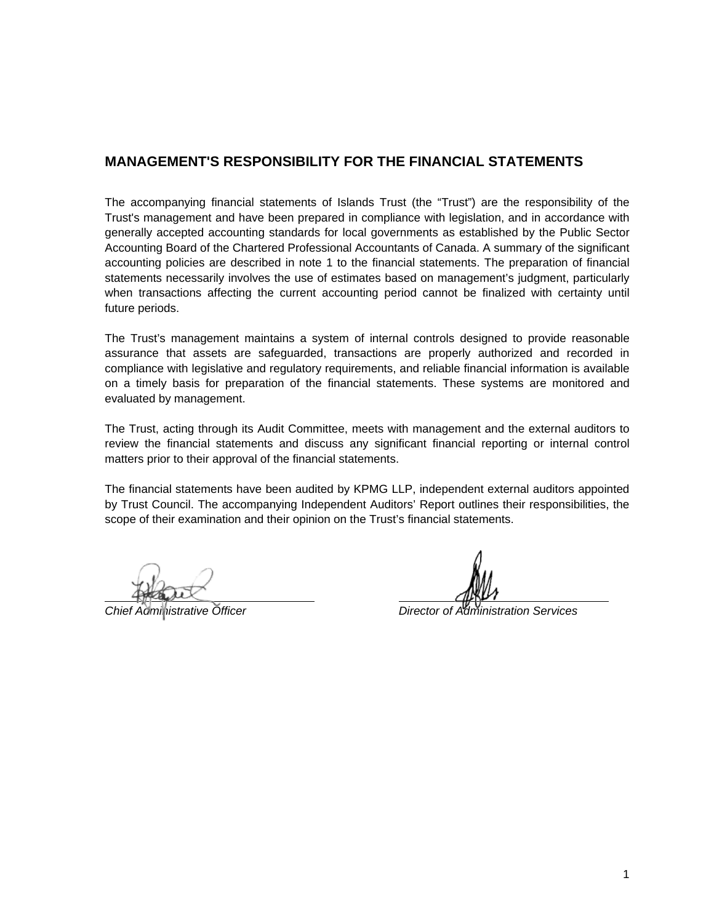### **MANAGEMENT'S RESPONSIBILITY FOR THE FINANCIAL STATEMENTS**

The accompanying financial statements of Islands Trust (the "Trust") are the responsibility of the Trust's management and have been prepared in compliance with legislation, and in accordance with generally accepted accounting standards for local governments as established by the Public Sector Accounting Board of the Chartered Professional Accountants of Canada. A summary of the significant accounting policies are described in note 1 to the financial statements. The preparation of financial statements necessarily involves the use of estimates based on management's judgment, particularly when transactions affecting the current accounting period cannot be finalized with certainty until future periods.

The Trust's management maintains a system of internal controls designed to provide reasonable assurance that assets are safeguarded, transactions are properly authorized and recorded in compliance with legislative and regulatory requirements, and reliable financial information is available on a timely basis for preparation of the financial statements. These systems are monitored and evaluated by management.

The Trust, acting through its Audit Committee, meets with management and the external auditors to review the financial statements and discuss any significant financial reporting or internal control matters prior to their approval of the financial statements.

The financial statements have been audited by KPMG LLP, independent external auditors appointed by Trust Council. The accompanying Independent Auditors' Report outlines their responsibilities, the scope of their examination and their opinion on the Trust's financial statements.

 $\overline{a}$ 

*Chief Administrative Officer Director of Administration Services*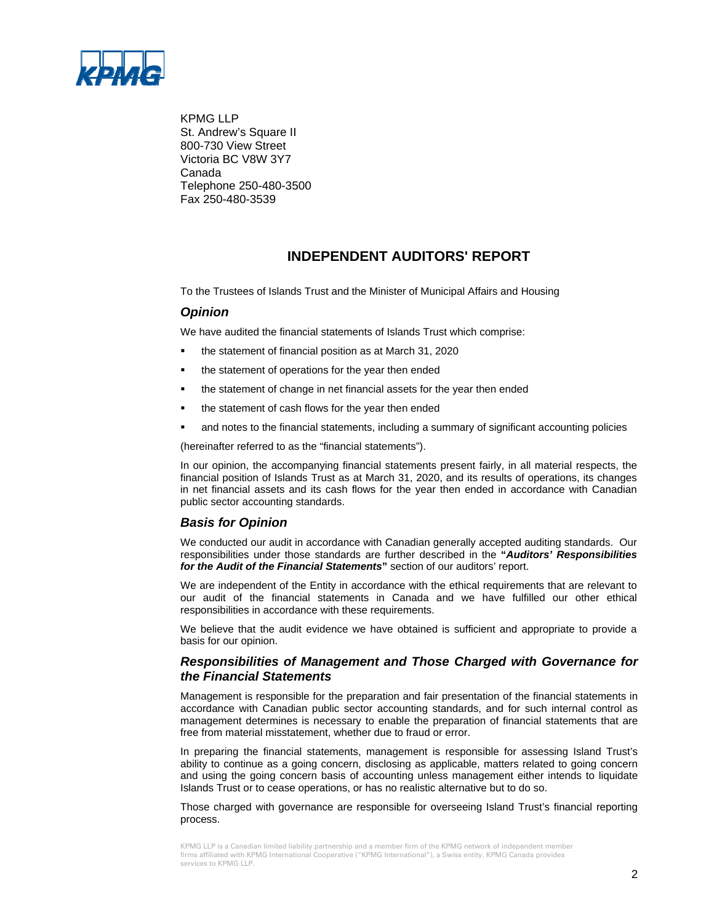

KPMG LLP St. Andrew's Square II 800-730 View Street Victoria BC V8W 3Y7 Canada Telephone 250-480-3500 Fax 250-480-3539

### **INDEPENDENT AUDITORS' REPORT**

To the Trustees of Islands Trust and the Minister of Municipal Affairs and Housing

### *Opinion*

We have audited the financial statements of Islands Trust which comprise:

- the statement of financial position as at March 31, 2020
- the statement of operations for the year then ended
- the statement of change in net financial assets for the year then ended
- the statement of cash flows for the year then ended
- and notes to the financial statements, including a summary of significant accounting policies

(hereinafter referred to as the "financial statements").

In our opinion, the accompanying financial statements present fairly, in all material respects, the financial position of Islands Trust as at March 31, 2020, and its results of operations, its changes in net financial assets and its cash flows for the year then ended in accordance with Canadian public sector accounting standards.

#### *Basis for Opinion*

We conducted our audit in accordance with Canadian generally accepted auditing standards. Our responsibilities under those standards are further described in the **"***Auditors' Responsibilities for the Audit of the Financial Statements***"** section of our auditors' report.

We are independent of the Entity in accordance with the ethical requirements that are relevant to our audit of the financial statements in Canada and we have fulfilled our other ethical responsibilities in accordance with these requirements.

We believe that the audit evidence we have obtained is sufficient and appropriate to provide a basis for our opinion.

### *Responsibilities of Management and Those Charged with Governance for the Financial Statements*

Management is responsible for the preparation and fair presentation of the financial statements in accordance with Canadian public sector accounting standards, and for such internal control as management determines is necessary to enable the preparation of financial statements that are free from material misstatement, whether due to fraud or error.

In preparing the financial statements, management is responsible for assessing Island Trust's ability to continue as a going concern, disclosing as applicable, matters related to going concern and using the going concern basis of accounting unless management either intends to liquidate Islands Trust or to cease operations, or has no realistic alternative but to do so.

Those charged with governance are responsible for overseeing Island Trust's financial reporting process.

KPMG LLP is a Canadian limited liability partnership and a member firm of the KPMG network of independent member firms affiliated with KPMG International Cooperative ("KPMG International"), a Swiss entity. KPMG Canada provides services to KPMG LLP.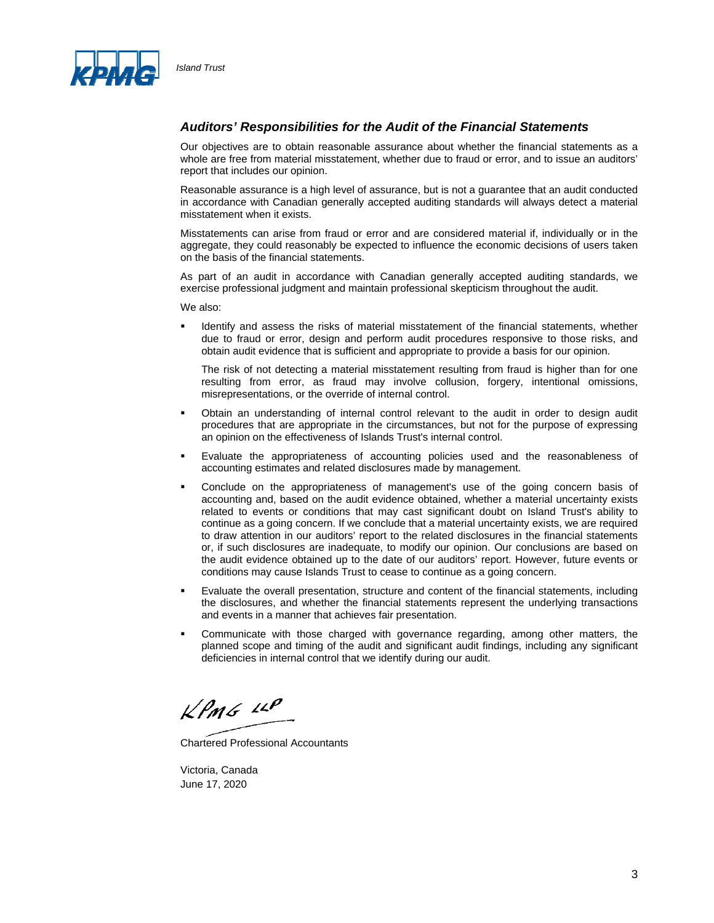

### *Auditors' Responsibilities for the Audit of the Financial Statements*

Our objectives are to obtain reasonable assurance about whether the financial statements as a whole are free from material misstatement, whether due to fraud or error, and to issue an auditors' report that includes our opinion.

Reasonable assurance is a high level of assurance, but is not a guarantee that an audit conducted in accordance with Canadian generally accepted auditing standards will always detect a material misstatement when it exists.

Misstatements can arise from fraud or error and are considered material if, individually or in the aggregate, they could reasonably be expected to influence the economic decisions of users taken on the basis of the financial statements.

As part of an audit in accordance with Canadian generally accepted auditing standards, we exercise professional judgment and maintain professional skepticism throughout the audit.

We also:

 Identify and assess the risks of material misstatement of the financial statements, whether due to fraud or error, design and perform audit procedures responsive to those risks, and obtain audit evidence that is sufficient and appropriate to provide a basis for our opinion.

The risk of not detecting a material misstatement resulting from fraud is higher than for one resulting from error, as fraud may involve collusion, forgery, intentional omissions, misrepresentations, or the override of internal control.

- Obtain an understanding of internal control relevant to the audit in order to design audit procedures that are appropriate in the circumstances, but not for the purpose of expressing an opinion on the effectiveness of Islands Trust's internal control.
- Evaluate the appropriateness of accounting policies used and the reasonableness of accounting estimates and related disclosures made by management.
- Conclude on the appropriateness of management's use of the going concern basis of accounting and, based on the audit evidence obtained, whether a material uncertainty exists related to events or conditions that may cast significant doubt on Island Trust's ability to continue as a going concern. If we conclude that a material uncertainty exists, we are required to draw attention in our auditors' report to the related disclosures in the financial statements or, if such disclosures are inadequate, to modify our opinion. Our conclusions are based on the audit evidence obtained up to the date of our auditors' report. However, future events or conditions may cause Islands Trust to cease to continue as a going concern.
- Evaluate the overall presentation, structure and content of the financial statements, including the disclosures, and whether the financial statements represent the underlying transactions and events in a manner that achieves fair presentation.
- Communicate with those charged with governance regarding, among other matters, the planned scope and timing of the audit and significant audit findings, including any significant deficiencies in internal control that we identify during our audit.

 $k$ *PMG*  $44$ 

Chartered Professional Accountants

Victoria, Canada June 17, 2020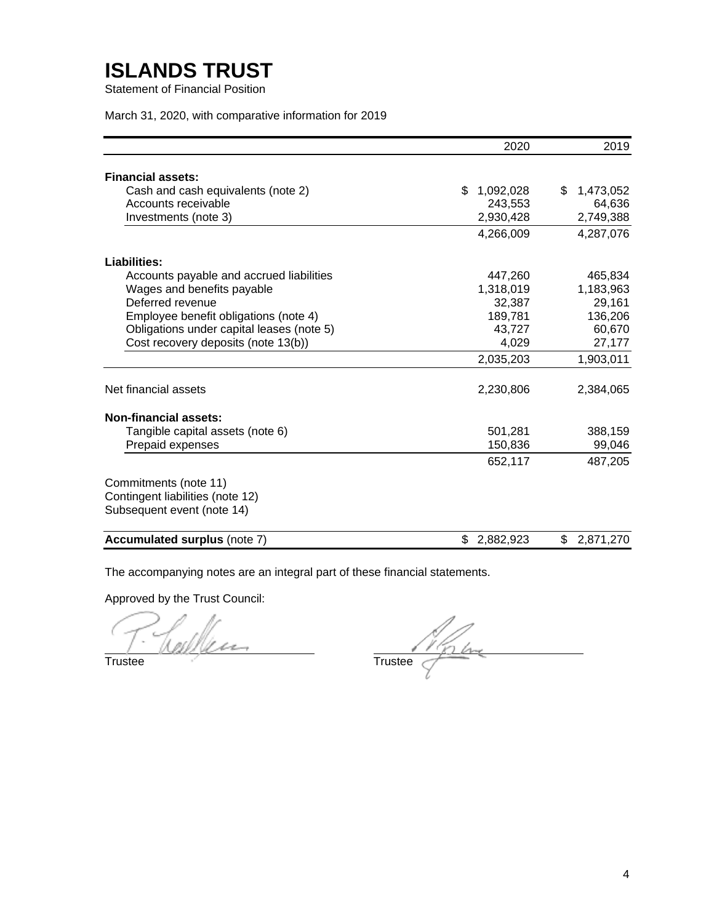Statement of Financial Position

March 31, 2020, with comparative information for 2019

|                                           | 2020            | 2019            |
|-------------------------------------------|-----------------|-----------------|
| <b>Financial assets:</b>                  |                 |                 |
| Cash and cash equivalents (note 2)        | 1,092,028<br>\$ | \$<br>1,473,052 |
| Accounts receivable                       | 243,553         | 64,636          |
| Investments (note 3)                      | 2,930,428       | 2,749,388       |
|                                           | 4,266,009       | 4,287,076       |
| Liabilities:                              |                 |                 |
| Accounts payable and accrued liabilities  | 447,260         | 465,834         |
| Wages and benefits payable                | 1,318,019       | 1,183,963       |
| Deferred revenue                          | 32,387          | 29,161          |
| Employee benefit obligations (note 4)     | 189,781         | 136,206         |
| Obligations under capital leases (note 5) | 43,727          | 60,670          |
| Cost recovery deposits (note 13(b))       | 4,029           | 27,177          |
|                                           | 2,035,203       | 1,903,011       |
| Net financial assets                      | 2,230,806       | 2,384,065       |
| <b>Non-financial assets:</b>              |                 |                 |
| Tangible capital assets (note 6)          | 501,281         | 388,159         |
| Prepaid expenses                          | 150,836         | 99,046          |
|                                           | 652,117         | 487,205         |
| Commitments (note 11)                     |                 |                 |
| Contingent liabilities (note 12)          |                 |                 |
| Subsequent event (note 14)                |                 |                 |
| <b>Accumulated surplus (note 7)</b>       | \$<br>2,882,923 | \$<br>2,871,270 |

The accompanying notes are an integral part of these financial statements.

Approved by the Trust Council:

ر Um

Trustee

 $T$ rustee  $T$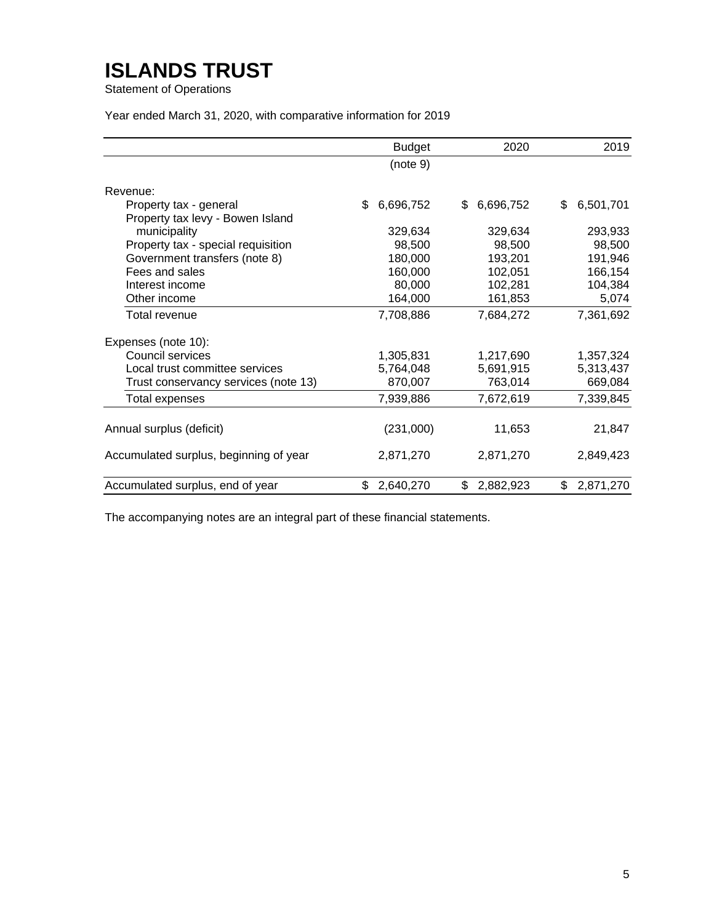Statement of Operations

Year ended March 31, 2020, with comparative information for 2019

|                                                            | <b>Budget</b>   | 2020            | 2019            |
|------------------------------------------------------------|-----------------|-----------------|-----------------|
|                                                            | (note 9)        |                 |                 |
| Revenue:                                                   |                 |                 |                 |
| Property tax - general<br>Property tax levy - Bowen Island | 6,696,752<br>\$ | 6,696,752<br>\$ | 6,501,701<br>\$ |
| municipality                                               | 329,634         | 329,634         | 293,933         |
| Property tax - special requisition                         | 98,500          | 98,500          | 98,500          |
| Government transfers (note 8)                              | 180,000         | 193,201         | 191,946         |
| Fees and sales                                             | 160,000         | 102,051         | 166,154         |
| Interest income                                            | 80,000          | 102,281         | 104,384         |
| Other income                                               | 164,000         | 161,853         | 5,074           |
| Total revenue                                              | 7,708,886       | 7,684,272       | 7,361,692       |
| Expenses (note 10):                                        |                 |                 |                 |
| Council services                                           | 1,305,831       | 1,217,690       | 1,357,324       |
| Local trust committee services                             | 5,764,048       | 5,691,915       | 5,313,437       |
| Trust conservancy services (note 13)                       | 870,007         | 763,014         | 669,084         |
| Total expenses                                             | 7,939,886       | 7,672,619       | 7,339,845       |
| Annual surplus (deficit)                                   | (231,000)       | 11,653          | 21,847          |
| Accumulated surplus, beginning of year                     | 2,871,270       | 2,871,270       | 2,849,423       |
| Accumulated surplus, end of year                           | \$<br>2,640,270 | \$<br>2,882,923 | \$<br>2,871,270 |

The accompanying notes are an integral part of these financial statements.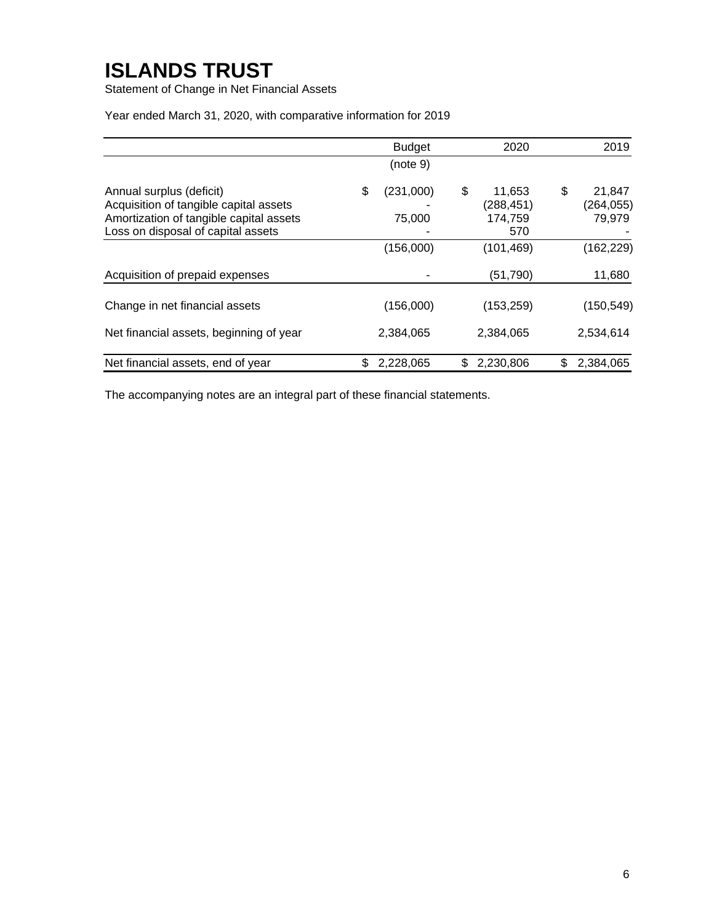Statement of Change in Net Financial Assets

Year ended March 31, 2020, with comparative information for 2019

|                                                                                                                                                     |    | <b>Budget</b>       | 2020                                        | 2019                                |
|-----------------------------------------------------------------------------------------------------------------------------------------------------|----|---------------------|---------------------------------------------|-------------------------------------|
|                                                                                                                                                     |    | (note 9)            |                                             |                                     |
| Annual surplus (deficit)<br>Acquisition of tangible capital assets<br>Amortization of tangible capital assets<br>Loss on disposal of capital assets | \$ | (231,000)<br>75,000 | \$<br>11,653<br>(288,451)<br>174,759<br>570 | \$<br>21,847<br>(264,055)<br>79,979 |
|                                                                                                                                                     |    | (156,000)           | (101, 469)                                  | (162, 229)                          |
| Acquisition of prepaid expenses                                                                                                                     |    |                     | (51, 790)                                   | 11,680                              |
| Change in net financial assets                                                                                                                      |    | (156,000)           | (153, 259)                                  | (150, 549)                          |
| Net financial assets, beginning of year                                                                                                             |    | 2,384,065           | 2,384,065                                   | 2,534,614                           |
| Net financial assets, end of year                                                                                                                   | S  | 2,228,065           | \$<br>2,230,806                             | \$<br>2,384,065                     |

The accompanying notes are an integral part of these financial statements.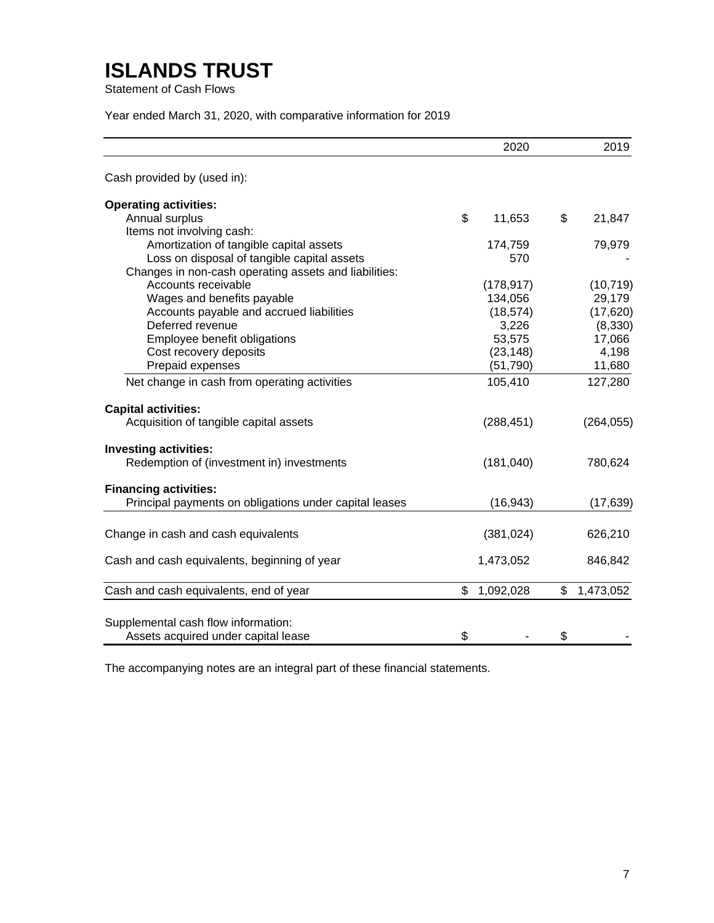Statement of Cash Flows

Year ended March 31, 2020, with comparative information for 2019

|                                                        | 2020            | 2019            |
|--------------------------------------------------------|-----------------|-----------------|
| Cash provided by (used in):                            |                 |                 |
| <b>Operating activities:</b>                           |                 |                 |
| Annual surplus                                         | \$<br>11,653    | \$<br>21,847    |
| Items not involving cash:                              |                 |                 |
| Amortization of tangible capital assets                | 174,759         | 79,979          |
| Loss on disposal of tangible capital assets            | 570             |                 |
| Changes in non-cash operating assets and liabilities:  |                 |                 |
| Accounts receivable                                    | (178, 917)      | (10, 719)       |
| Wages and benefits payable                             | 134,056         | 29,179          |
| Accounts payable and accrued liabilities               | (18, 574)       | (17, 620)       |
| Deferred revenue                                       | 3,226           | (8,330)         |
| Employee benefit obligations                           | 53,575          | 17,066          |
| Cost recovery deposits                                 | (23, 148)       | 4,198           |
| Prepaid expenses                                       | (51, 790)       | 11,680          |
| Net change in cash from operating activities           | 105,410         | 127,280         |
| <b>Capital activities:</b>                             |                 |                 |
| Acquisition of tangible capital assets                 | (288, 451)      | (264, 055)      |
| <b>Investing activities:</b>                           |                 |                 |
| Redemption of (investment in) investments              | (181, 040)      | 780,624         |
| <b>Financing activities:</b>                           |                 |                 |
| Principal payments on obligations under capital leases | (16, 943)       | (17, 639)       |
| Change in cash and cash equivalents                    | (381, 024)      | 626,210         |
| Cash and cash equivalents, beginning of year           | 1,473,052       | 846,842         |
| Cash and cash equivalents, end of year                 | \$<br>1,092,028 | \$<br>1,473,052 |
|                                                        |                 |                 |
| Supplemental cash flow information:                    |                 |                 |
| Assets acquired under capital lease                    | \$              | \$              |

The accompanying notes are an integral part of these financial statements.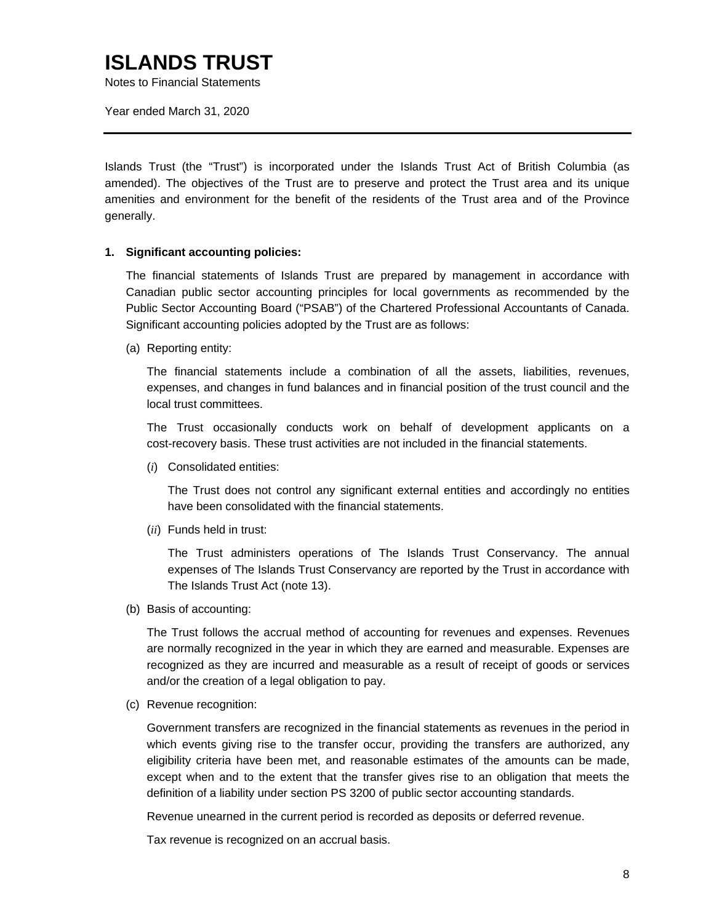Notes to Financial Statements

Year ended March 31, 2020

Islands Trust (the "Trust") is incorporated under the Islands Trust Act of British Columbia (as amended). The objectives of the Trust are to preserve and protect the Trust area and its unique amenities and environment for the benefit of the residents of the Trust area and of the Province generally.

### **1. Significant accounting policies:**

The financial statements of Islands Trust are prepared by management in accordance with Canadian public sector accounting principles for local governments as recommended by the Public Sector Accounting Board ("PSAB") of the Chartered Professional Accountants of Canada. Significant accounting policies adopted by the Trust are as follows:

(a) Reporting entity:

The financial statements include a combination of all the assets, liabilities, revenues, expenses, and changes in fund balances and in financial position of the trust council and the local trust committees.

The Trust occasionally conducts work on behalf of development applicants on a cost-recovery basis. These trust activities are not included in the financial statements.

(*i*) Consolidated entities:

The Trust does not control any significant external entities and accordingly no entities have been consolidated with the financial statements.

(*ii*) Funds held in trust:

The Trust administers operations of The Islands Trust Conservancy. The annual expenses of The Islands Trust Conservancy are reported by the Trust in accordance with The Islands Trust Act (note 13).

(b) Basis of accounting:

The Trust follows the accrual method of accounting for revenues and expenses. Revenues are normally recognized in the year in which they are earned and measurable. Expenses are recognized as they are incurred and measurable as a result of receipt of goods or services and/or the creation of a legal obligation to pay.

(c) Revenue recognition:

Government transfers are recognized in the financial statements as revenues in the period in which events giving rise to the transfer occur, providing the transfers are authorized, any eligibility criteria have been met, and reasonable estimates of the amounts can be made, except when and to the extent that the transfer gives rise to an obligation that meets the definition of a liability under section PS 3200 of public sector accounting standards.

Revenue unearned in the current period is recorded as deposits or deferred revenue.

Tax revenue is recognized on an accrual basis.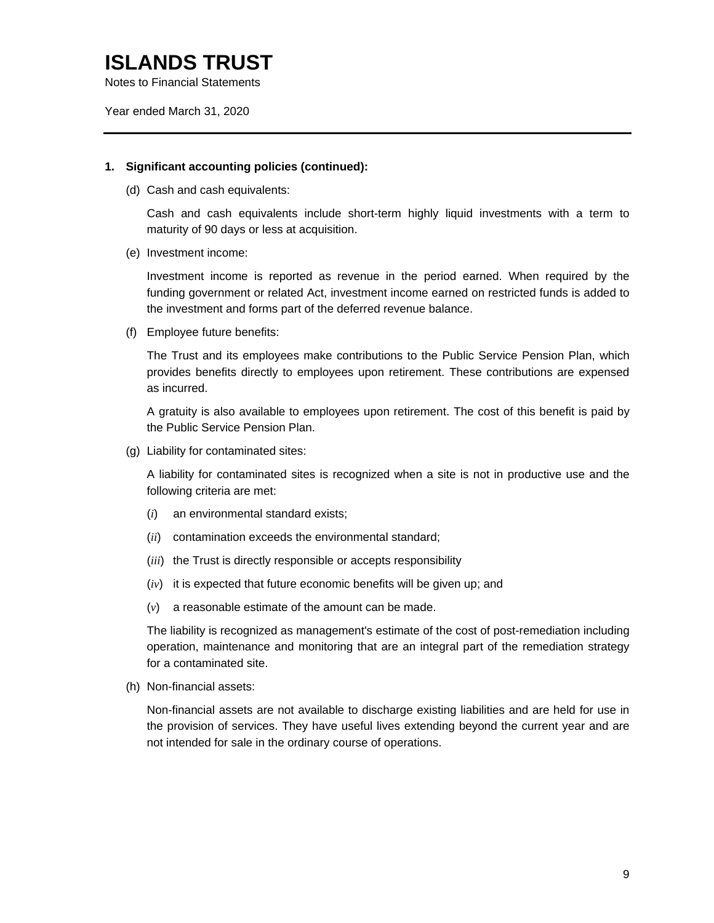Year ended March 31, 2020

### **1. Significant accounting policies (continued):**

(d) Cash and cash equivalents:

Cash and cash equivalents include short-term highly liquid investments with a term to maturity of 90 days or less at acquisition.

(e) Investment income:

Investment income is reported as revenue in the period earned. When required by the funding government or related Act, investment income earned on restricted funds is added to the investment and forms part of the deferred revenue balance.

(f) Employee future benefits:

The Trust and its employees make contributions to the Public Service Pension Plan, which provides benefits directly to employees upon retirement. These contributions are expensed as incurred.

A gratuity is also available to employees upon retirement. The cost of this benefit is paid by the Public Service Pension Plan.

(g) Liability for contaminated sites:

A liability for contaminated sites is recognized when a site is not in productive use and the following criteria are met:

- (*i*) an environmental standard exists;
- (*ii*) contamination exceeds the environmental standard;
- (*iii*) the Trust is directly responsible or accepts responsibility
- (*iv*) it is expected that future economic benefits will be given up; and
- (*v*) a reasonable estimate of the amount can be made.

The liability is recognized as management's estimate of the cost of post-remediation including operation, maintenance and monitoring that are an integral part of the remediation strategy for a contaminated site.

(h) Non-financial assets:

Non-financial assets are not available to discharge existing liabilities and are held for use in the provision of services. They have useful lives extending beyond the current year and are not intended for sale in the ordinary course of operations.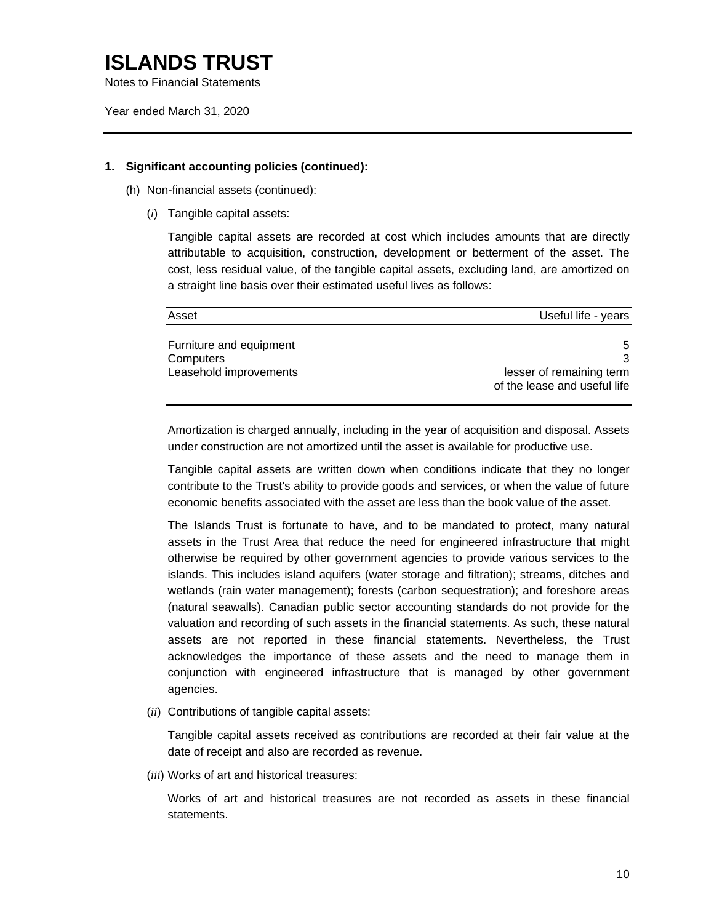Notes to Financial Statements

Year ended March 31, 2020

### **1. Significant accounting policies (continued):**

- (h) Non-financial assets (continued):
	- (*i*) Tangible capital assets:

Tangible capital assets are recorded at cost which includes amounts that are directly attributable to acquisition, construction, development or betterment of the asset. The cost, less residual value, of the tangible capital assets, excluding land, are amortized on a straight line basis over their estimated useful lives as follows:

| Asset                                | Useful life - years                                      |
|--------------------------------------|----------------------------------------------------------|
| Furniture and equipment<br>Computers |                                                          |
| Leasehold improvements               | lesser of remaining term<br>of the lease and useful life |

Amortization is charged annually, including in the year of acquisition and disposal. Assets under construction are not amortized until the asset is available for productive use.

Tangible capital assets are written down when conditions indicate that they no longer contribute to the Trust's ability to provide goods and services, or when the value of future economic benefits associated with the asset are less than the book value of the asset.

The Islands Trust is fortunate to have, and to be mandated to protect, many natural assets in the Trust Area that reduce the need for engineered infrastructure that might otherwise be required by other government agencies to provide various services to the islands. This includes island aquifers (water storage and filtration); streams, ditches and wetlands (rain water management); forests (carbon sequestration); and foreshore areas (natural seawalls). Canadian public sector accounting standards do not provide for the valuation and recording of such assets in the financial statements. As such, these natural assets are not reported in these financial statements. Nevertheless, the Trust acknowledges the importance of these assets and the need to manage them in conjunction with engineered infrastructure that is managed by other government agencies.

(*ii*) Contributions of tangible capital assets:

Tangible capital assets received as contributions are recorded at their fair value at the date of receipt and also are recorded as revenue.

(*iii*) Works of art and historical treasures:

Works of art and historical treasures are not recorded as assets in these financial statements.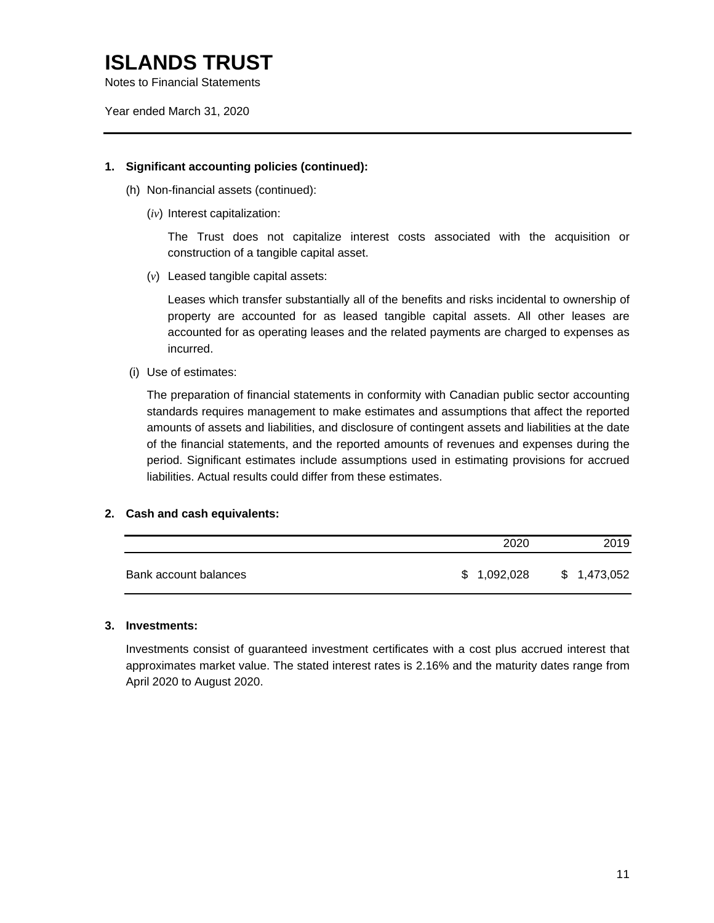Year ended March 31, 2020

### **1. Significant accounting policies (continued):**

- (h) Non-financial assets (continued):
	- (*iv*) Interest capitalization:

The Trust does not capitalize interest costs associated with the acquisition or construction of a tangible capital asset.

(*v*) Leased tangible capital assets:

Leases which transfer substantially all of the benefits and risks incidental to ownership of property are accounted for as leased tangible capital assets. All other leases are accounted for as operating leases and the related payments are charged to expenses as incurred.

(i) Use of estimates:

The preparation of financial statements in conformity with Canadian public sector accounting standards requires management to make estimates and assumptions that affect the reported amounts of assets and liabilities, and disclosure of contingent assets and liabilities at the date of the financial statements, and the reported amounts of revenues and expenses during the period. Significant estimates include assumptions used in estimating provisions for accrued liabilities. Actual results could differ from these estimates.

### **2. Cash and cash equivalents:**

|                       | 2020        | 2019        |
|-----------------------|-------------|-------------|
| Bank account balances | \$1,092,028 | \$1,473,052 |

#### **3. Investments:**

Investments consist of guaranteed investment certificates with a cost plus accrued interest that approximates market value. The stated interest rates is 2.16% and the maturity dates range from April 2020 to August 2020.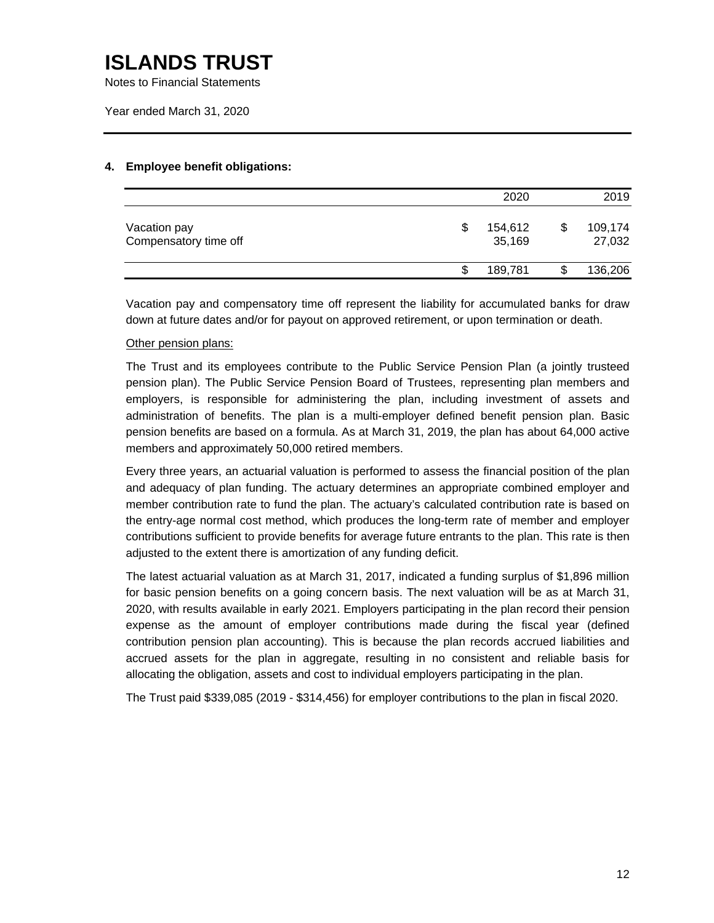Notes to Financial Statements

Year ended March 31, 2020

### **4. Employee benefit obligations:**

|                                       | 2020                    | 2019              |
|---------------------------------------|-------------------------|-------------------|
| Vacation pay<br>Compensatory time off | \$<br>154,612<br>35,169 | 109,174<br>27,032 |
|                                       | 189,781                 | 136,206           |

Vacation pay and compensatory time off represent the liability for accumulated banks for draw down at future dates and/or for payout on approved retirement, or upon termination or death.

### Other pension plans:

The Trust and its employees contribute to the Public Service Pension Plan (a jointly trusteed pension plan). The Public Service Pension Board of Trustees, representing plan members and employers, is responsible for administering the plan, including investment of assets and administration of benefits. The plan is a multi-employer defined benefit pension plan. Basic pension benefits are based on a formula. As at March 31, 2019, the plan has about 64,000 active members and approximately 50,000 retired members.

Every three years, an actuarial valuation is performed to assess the financial position of the plan and adequacy of plan funding. The actuary determines an appropriate combined employer and member contribution rate to fund the plan. The actuary's calculated contribution rate is based on the entry-age normal cost method, which produces the long-term rate of member and employer contributions sufficient to provide benefits for average future entrants to the plan. This rate is then adjusted to the extent there is amortization of any funding deficit.

The latest actuarial valuation as at March 31, 2017, indicated a funding surplus of \$1,896 million for basic pension benefits on a going concern basis. The next valuation will be as at March 31, 2020, with results available in early 2021. Employers participating in the plan record their pension expense as the amount of employer contributions made during the fiscal year (defined contribution pension plan accounting). This is because the plan records accrued liabilities and accrued assets for the plan in aggregate, resulting in no consistent and reliable basis for allocating the obligation, assets and cost to individual employers participating in the plan.

The Trust paid \$339,085 (2019 - \$314,456) for employer contributions to the plan in fiscal 2020.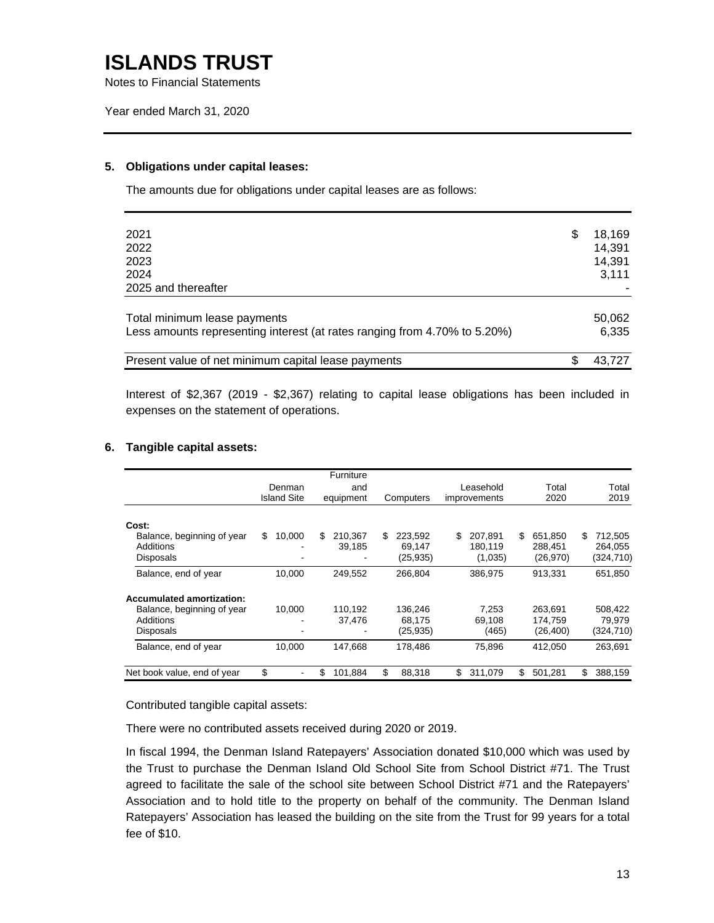Notes to Financial Statements

#### **5. Obligations under capital leases:**

The amounts due for obligations under capital leases are as follows:

| 2021<br>2022<br>2023<br>2024<br>2025 and thereafter                                                       | \$ | 18,169<br>14,391<br>14,391<br>3,111 |
|-----------------------------------------------------------------------------------------------------------|----|-------------------------------------|
| Total minimum lease payments<br>Less amounts representing interest (at rates ranging from 4.70% to 5.20%) |    | 50,062<br>6,335                     |
| Present value of net minimum capital lease payments                                                       | S  | 43.727                              |

Interest of \$2,367 (2019 - \$2,367) relating to capital lease obligations has been included in expenses on the statement of operations.

### **6. Tangible capital assets:**

|                                                                                                 | Denman<br><b>Island Site</b> | Furniture<br>and<br>equipment | Computers                             | Leasehold<br>improvements            | Total<br>2020                          | Total<br>2019                         |
|-------------------------------------------------------------------------------------------------|------------------------------|-------------------------------|---------------------------------------|--------------------------------------|----------------------------------------|---------------------------------------|
| Cost:<br>Balance, beginning of year<br>Additions<br><b>Disposals</b>                            | 10,000<br>\$.                | 210.367<br>\$.<br>39,185      | 223.592<br>\$.<br>69.147<br>(25, 935) | 207.891<br>\$.<br>180.119<br>(1,035) | \$.<br>651.850<br>288.451<br>(26, 970) | 712.505<br>S<br>264.055<br>(324, 710) |
| Balance, end of year                                                                            | 10.000                       | 249,552                       | 266,804                               | 386.975                              | 913,331                                | 651,850                               |
| <b>Accumulated amortization:</b><br>Balance, beginning of year<br>Additions<br><b>Disposals</b> | 10,000                       | 110.192<br>37.476             | 136.246<br>68.175<br>(25, 935)        | 7.253<br>69,108<br>(465)             | 263.691<br>174.759<br>(26, 400)        | 508,422<br>79.979<br>(324,710)        |
| Balance, end of year                                                                            | 10,000                       | 147,668                       | 178,486                               | 75,896                               | 412,050                                | 263,691                               |
| Net book value, end of year                                                                     | \$                           | \$<br>101.884                 | \$<br>88,318                          | \$<br>311.079                        | \$<br>501,281                          | \$<br>388,159                         |

Contributed tangible capital assets:

There were no contributed assets received during 2020 or 2019.

In fiscal 1994, the Denman Island Ratepayers' Association donated \$10,000 which was used by the Trust to purchase the Denman Island Old School Site from School District #71. The Trust agreed to facilitate the sale of the school site between School District #71 and the Ratepayers' Association and to hold title to the property on behalf of the community. The Denman Island Ratepayers' Association has leased the building on the site from the Trust for 99 years for a total fee of \$10.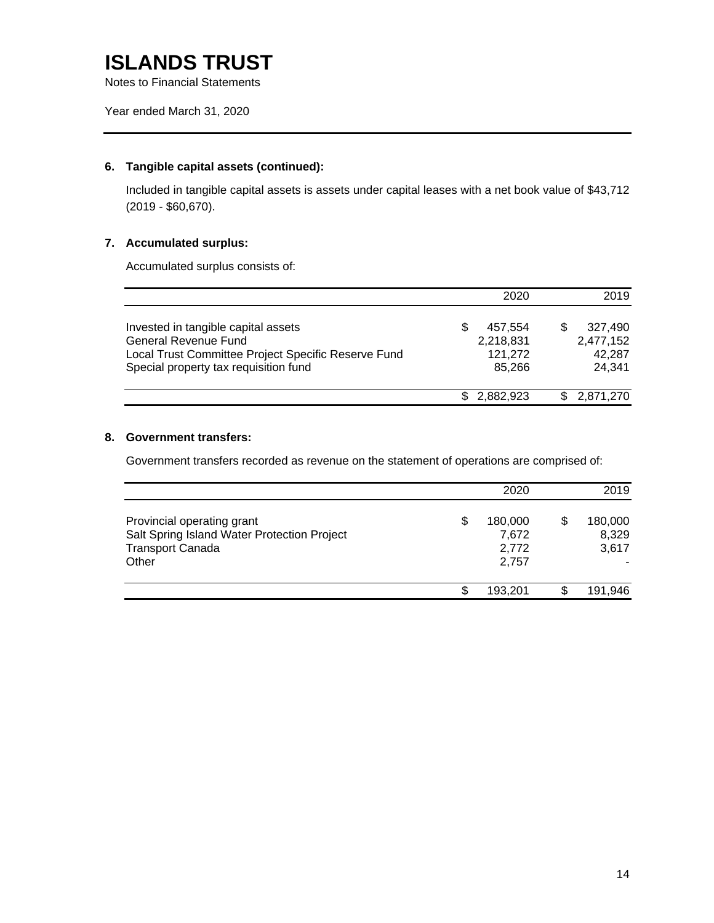### **6. Tangible capital assets (continued):**

Included in tangible capital assets is assets under capital leases with a net book value of \$43,712 (2019 - \$60,670).

### **7. Accumulated surplus:**

Accumulated surplus consists of:

|                                                                                                                                                             | 2020                                           | 2019                                     |
|-------------------------------------------------------------------------------------------------------------------------------------------------------------|------------------------------------------------|------------------------------------------|
| Invested in tangible capital assets<br>General Revenue Fund<br>Local Trust Committee Project Specific Reserve Fund<br>Special property tax requisition fund | 457.554<br>S<br>2,218,831<br>121,272<br>85.266 | 327.490<br>2,477,152<br>42,287<br>24.341 |
|                                                                                                                                                             | 2.882.923                                      | 2,871,270                                |

### **8. Government transfers:**

Government transfers recorded as revenue on the statement of operations are comprised of:

|                                                                                                               |    | 2020                               | 2019                      |
|---------------------------------------------------------------------------------------------------------------|----|------------------------------------|---------------------------|
| Provincial operating grant<br>Salt Spring Island Water Protection Project<br><b>Transport Canada</b><br>Other | \$ | 180,000<br>7,672<br>2,772<br>2.757 | 180,000<br>8,329<br>3,617 |
|                                                                                                               | S. | 193.201                            | 191,946                   |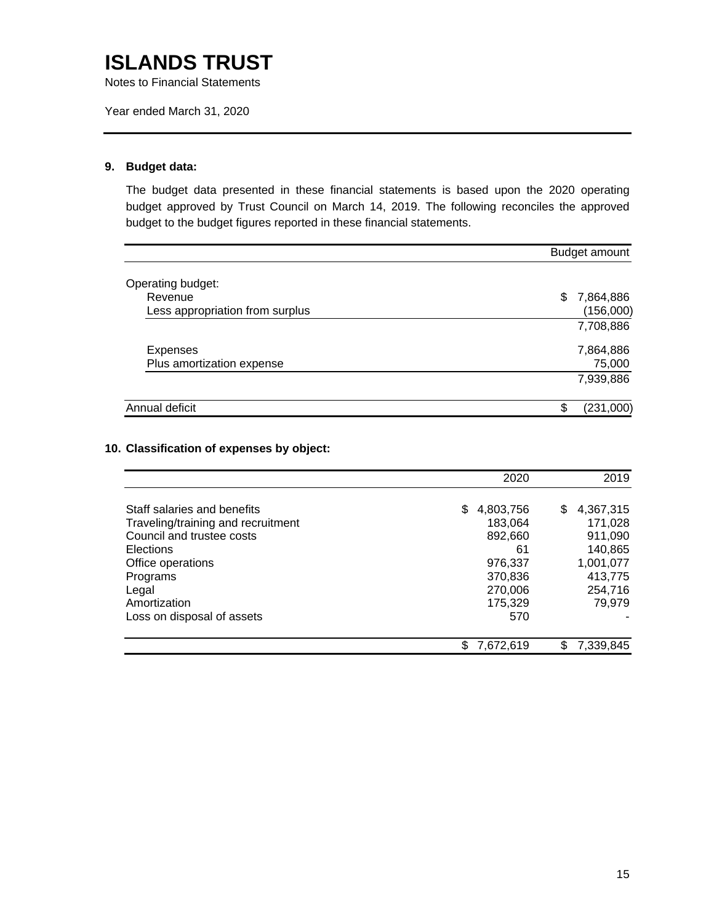Notes to Financial Statements

Year ended March 31, 2020

### **9. Budget data:**

The budget data presented in these financial statements is based upon the 2020 operating budget approved by Trust Council on March 14, 2019. The following reconciles the approved budget to the budget figures reported in these financial statements.

|                                 | Budget amount   |
|---------------------------------|-----------------|
| Operating budget:               |                 |
| Revenue                         | 7,864,886<br>S  |
| Less appropriation from surplus | (156,000)       |
|                                 | 7,708,886       |
| Expenses                        | 7,864,886       |
| Plus amortization expense       | 75,000          |
|                                 | 7,939,886       |
| Annual deficit                  | \$<br>(231,000) |

### **10. Classification of expenses by object:**

|                                    | 2020            | 2019           |
|------------------------------------|-----------------|----------------|
| Staff salaries and benefits        | \$<br>4,803,756 | 4,367,315<br>S |
| Traveling/training and recruitment | 183,064         | 171,028        |
| Council and trustee costs          | 892,660         | 911,090        |
| Elections                          | 61              | 140,865        |
| Office operations                  | 976.337         | 1,001,077      |
| Programs                           | 370,836         | 413,775        |
| Legal                              | 270,006         | 254,716        |
| Amortization                       | 175,329         | 79,979         |
| Loss on disposal of assets         | 570             |                |
|                                    | 7,672,619       | 7,339,845<br>S |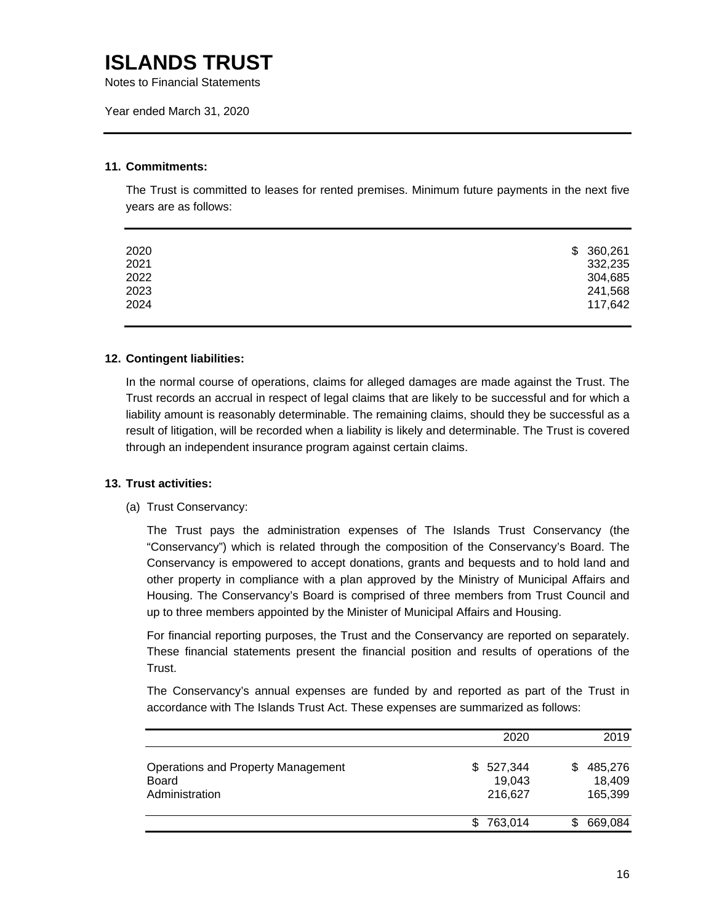Notes to Financial Statements

Year ended March 31, 2020

### **11. Commitments:**

The Trust is committed to leases for rented premises. Minimum future payments in the next five years are as follows:

| 2020 | \$360,261 |
|------|-----------|
| 2021 | 332,235   |
| 2022 | 304,685   |
| 2023 | 241,568   |
| 2024 | 117,642   |
|      |           |

### **12. Contingent liabilities:**

In the normal course of operations, claims for alleged damages are made against the Trust. The Trust records an accrual in respect of legal claims that are likely to be successful and for which a liability amount is reasonably determinable. The remaining claims, should they be successful as a result of litigation, will be recorded when a liability is likely and determinable. The Trust is covered through an independent insurance program against certain claims.

### **13. Trust activities:**

#### (a) Trust Conservancy:

The Trust pays the administration expenses of The Islands Trust Conservancy (the "Conservancy") which is related through the composition of the Conservancy's Board. The Conservancy is empowered to accept donations, grants and bequests and to hold land and other property in compliance with a plan approved by the Ministry of Municipal Affairs and Housing. The Conservancy's Board is comprised of three members from Trust Council and up to three members appointed by the Minister of Municipal Affairs and Housing.

For financial reporting purposes, the Trust and the Conservancy are reported on separately. These financial statements present the financial position and results of operations of the Trust.

The Conservancy's annual expenses are funded by and reported as part of the Trust in accordance with The Islands Trust Act. These expenses are summarized as follows:

|                                                                      | 2020                                | 2019                               |
|----------------------------------------------------------------------|-------------------------------------|------------------------------------|
| Operations and Property Management<br><b>Board</b><br>Administration | 527,344<br>\$.<br>19,043<br>216,627 | 485,276<br>S.<br>18,409<br>165,399 |
|                                                                      | 763,014<br>S.                       | 669,084<br>\$.                     |